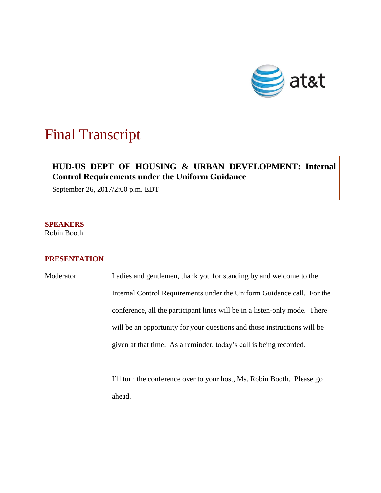

## Final Transcript

## **HUD-US DEPT OF HOUSING & URBAN DEVELOPMENT: Internal Control Requirements under the Uniform Guidance**

September 26, 2017/2:00 p.m. EDT

**SPEAKERS**  Robin Booth

## **PRESENTATION**

Moderator Ladies and gentlemen, thank you for standing by and welcome to the Internal Control Requirements under the Uniform Guidance call. For the conference, all the participant lines will be in a listen-only mode. There will be an opportunity for your questions and those instructions will be given at that time. As a reminder, today's call is being recorded.

> I'll turn the conference over to your host, Ms. Robin Booth. Please go ahead.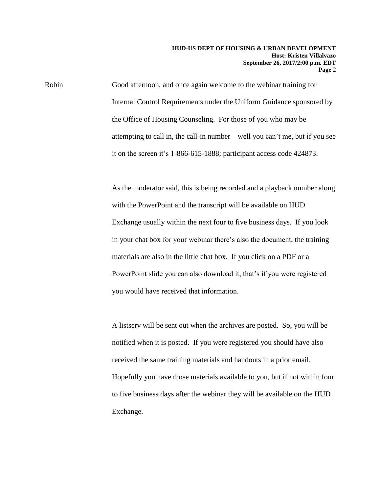Robin Good afternoon, and once again welcome to the webinar training for Internal Control Requirements under the Uniform Guidance sponsored by the Office of Housing Counseling. For those of you who may be attempting to call in, the call-in number—well you can't me, but if you see it on the screen it's 1-866-615-1888; participant access code 424873.

> As the moderator said, this is being recorded and a playback number along with the PowerPoint and the transcript will be available on HUD Exchange usually within the next four to five business days. If you look in your chat box for your webinar there's also the document, the training materials are also in the little chat box. If you click on a PDF or a PowerPoint slide you can also download it, that's if you were registered you would have received that information.

> A listserv will be sent out when the archives are posted. So, you will be notified when it is posted. If you were registered you should have also received the same training materials and handouts in a prior email. Hopefully you have those materials available to you, but if not within four to five business days after the webinar they will be available on the HUD Exchange.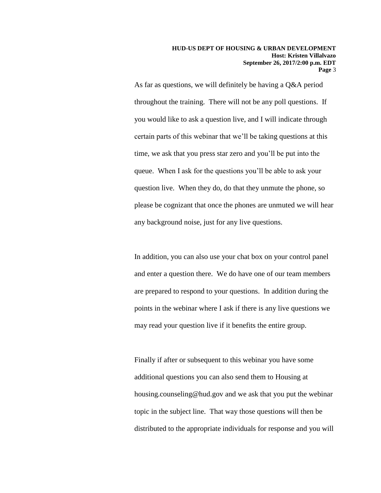As far as questions, we will definitely be having a Q&A period throughout the training. There will not be any poll questions. If you would like to ask a question live, and I will indicate through certain parts of this webinar that we'll be taking questions at this time, we ask that you press star zero and you'll be put into the queue. When I ask for the questions you'll be able to ask your question live. When they do, do that they unmute the phone, so please be cognizant that once the phones are unmuted we will hear any background noise, just for any live questions.

In addition, you can also use your chat box on your control panel and enter a question there. We do have one of our team members are prepared to respond to your questions. In addition during the points in the webinar where I ask if there is any live questions we may read your question live if it benefits the entire group.

Finally if after or subsequent to this webinar you have some additional questions you can also send them to Housing at housing.counseling@hud.gov and we ask that you put the webinar topic in the subject line. That way those questions will then be distributed to the appropriate individuals for response and you will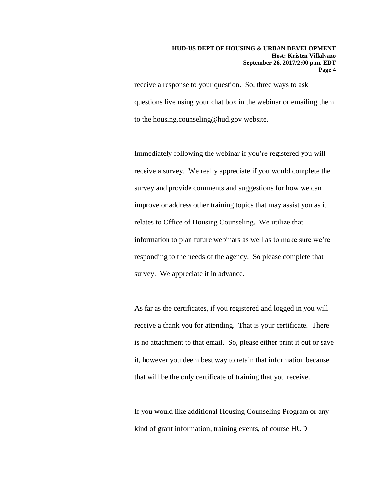receive a response to your question. So, three ways to ask questions live using your chat box in the webinar or emailing them to the housing.counseling@hud.gov website.

Immediately following the webinar if you're registered you will receive a survey. We really appreciate if you would complete the survey and provide comments and suggestions for how we can improve or address other training topics that may assist you as it relates to Office of Housing Counseling. We utilize that information to plan future webinars as well as to make sure we're responding to the needs of the agency. So please complete that survey. We appreciate it in advance.

As far as the certificates, if you registered and logged in you will receive a thank you for attending. That is your certificate. There is no attachment to that email. So, please either print it out or save it, however you deem best way to retain that information because that will be the only certificate of training that you receive.

If you would like additional Housing Counseling Program or any kind of grant information, training events, of course HUD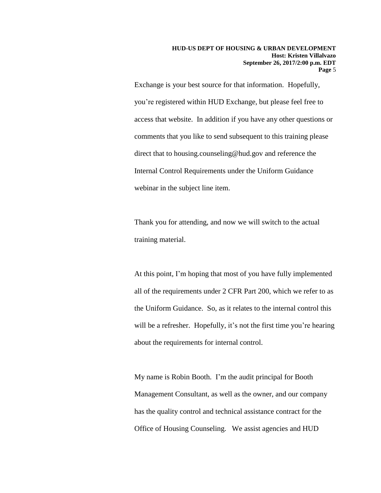Exchange is your best source for that information. Hopefully, you're registered within HUD Exchange, but please feel free to access that website. In addition if you have any other questions or comments that you like to send subsequent to this training please direct that to housing.counseling@hud.gov and reference the Internal Control Requirements under the Uniform Guidance webinar in the subject line item.

Thank you for attending, and now we will switch to the actual training material.

At this point, I'm hoping that most of you have fully implemented all of the requirements under 2 CFR Part 200, which we refer to as the Uniform Guidance. So, as it relates to the internal control this will be a refresher. Hopefully, it's not the first time you're hearing about the requirements for internal control.

My name is Robin Booth. I'm the audit principal for Booth Management Consultant, as well as the owner, and our company has the quality control and technical assistance contract for the Office of Housing Counseling. We assist agencies and HUD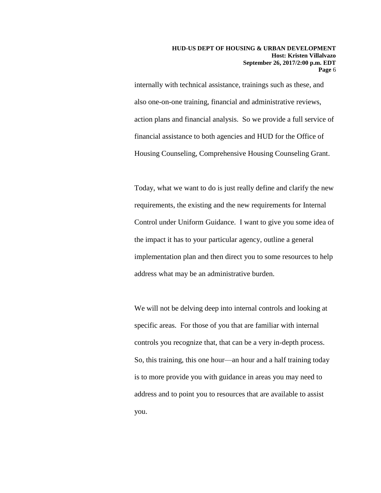internally with technical assistance, trainings such as these, and also one-on-one training, financial and administrative reviews, action plans and financial analysis. So we provide a full service of financial assistance to both agencies and HUD for the Office of Housing Counseling, Comprehensive Housing Counseling Grant.

Today, what we want to do is just really define and clarify the new requirements, the existing and the new requirements for Internal Control under Uniform Guidance. I want to give you some idea of the impact it has to your particular agency, outline a general implementation plan and then direct you to some resources to help address what may be an administrative burden.

We will not be delving deep into internal controls and looking at specific areas. For those of you that are familiar with internal controls you recognize that, that can be a very in-depth process. So, this training, this one hour—an hour and a half training today is to more provide you with guidance in areas you may need to address and to point you to resources that are available to assist you.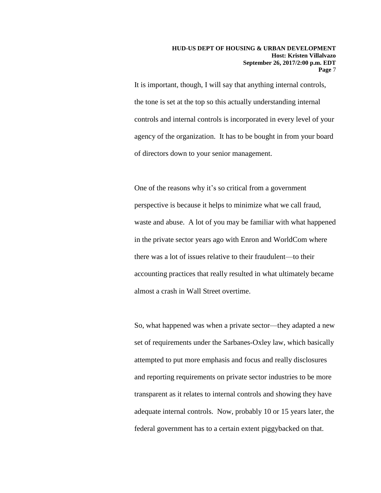It is important, though, I will say that anything internal controls, the tone is set at the top so this actually understanding internal controls and internal controls is incorporated in every level of your agency of the organization. It has to be bought in from your board of directors down to your senior management.

One of the reasons why it's so critical from a government perspective is because it helps to minimize what we call fraud, waste and abuse. A lot of you may be familiar with what happened in the private sector years ago with Enron and WorldCom where there was a lot of issues relative to their fraudulent—to their accounting practices that really resulted in what ultimately became almost a crash in Wall Street overtime.

So, what happened was when a private sector—they adapted a new set of requirements under the Sarbanes-Oxley law, which basically attempted to put more emphasis and focus and really disclosures and reporting requirements on private sector industries to be more transparent as it relates to internal controls and showing they have adequate internal controls. Now, probably 10 or 15 years later, the federal government has to a certain extent piggybacked on that.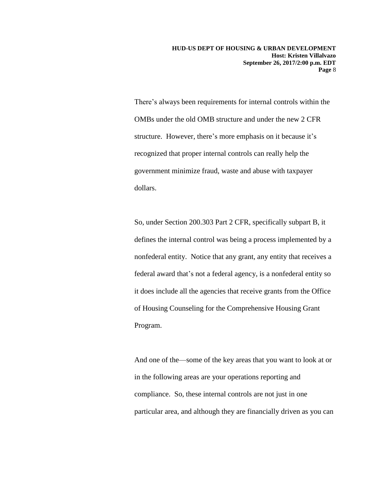**HUD-US DEPT OF HOUSING & URBAN DEVELOPMENT Host: Kristen Villalvazo September 26, 2017/2:00 p.m. EDT Page** 8

There's always been requirements for internal controls within the OMBs under the old OMB structure and under the new 2 CFR structure. However, there's more emphasis on it because it's recognized that proper internal controls can really help the government minimize fraud, waste and abuse with taxpayer dollars.

So, under Section 200.303 Part 2 CFR, specifically subpart B, it defines the internal control was being a process implemented by a nonfederal entity. Notice that any grant, any entity that receives a federal award that's not a federal agency, is a nonfederal entity so it does include all the agencies that receive grants from the Office of Housing Counseling for the Comprehensive Housing Grant Program.

And one of the—some of the key areas that you want to look at or in the following areas are your operations reporting and compliance. So, these internal controls are not just in one particular area, and although they are financially driven as you can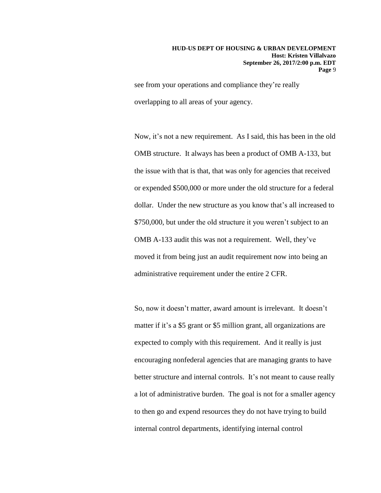see from your operations and compliance they're really overlapping to all areas of your agency.

Now, it's not a new requirement. As I said, this has been in the old OMB structure. It always has been a product of OMB A-133, but the issue with that is that, that was only for agencies that received or expended \$500,000 or more under the old structure for a federal dollar. Under the new structure as you know that's all increased to \$750,000, but under the old structure it you weren't subject to an OMB A-133 audit this was not a requirement. Well, they've moved it from being just an audit requirement now into being an administrative requirement under the entire 2 CFR.

So, now it doesn't matter, award amount is irrelevant. It doesn't matter if it's a \$5 grant or \$5 million grant, all organizations are expected to comply with this requirement. And it really is just encouraging nonfederal agencies that are managing grants to have better structure and internal controls. It's not meant to cause really a lot of administrative burden. The goal is not for a smaller agency to then go and expend resources they do not have trying to build internal control departments, identifying internal control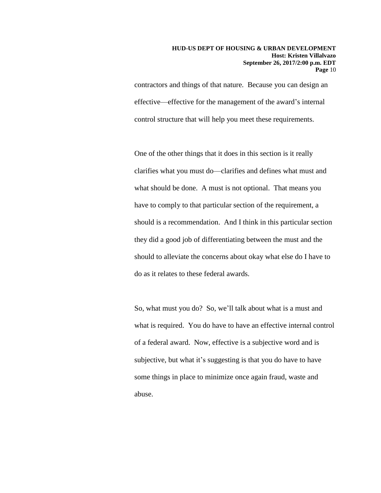## **HUD-US DEPT OF HOUSING & URBAN DEVELOPMENT Host: Kristen Villalvazo September 26, 2017/2:00 p.m. EDT Page** 10

contractors and things of that nature. Because you can design an effective—effective for the management of the award's internal control structure that will help you meet these requirements.

One of the other things that it does in this section is it really clarifies what you must do—clarifies and defines what must and what should be done. A must is not optional. That means you have to comply to that particular section of the requirement, a should is a recommendation. And I think in this particular section they did a good job of differentiating between the must and the should to alleviate the concerns about okay what else do I have to do as it relates to these federal awards.

So, what must you do? So, we'll talk about what is a must and what is required. You do have to have an effective internal control of a federal award. Now, effective is a subjective word and is subjective, but what it's suggesting is that you do have to have some things in place to minimize once again fraud, waste and abuse.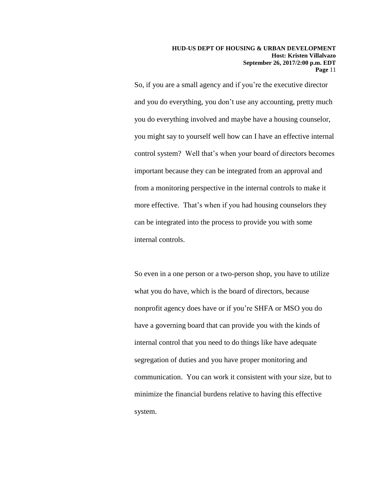**HUD-US DEPT OF HOUSING & URBAN DEVELOPMENT Host: Kristen Villalvazo September 26, 2017/2:00 p.m. EDT Page** 11

So, if you are a small agency and if you're the executive director and you do everything, you don't use any accounting, pretty much you do everything involved and maybe have a housing counselor, you might say to yourself well how can I have an effective internal control system? Well that's when your board of directors becomes important because they can be integrated from an approval and from a monitoring perspective in the internal controls to make it more effective. That's when if you had housing counselors they can be integrated into the process to provide you with some internal controls.

So even in a one person or a two-person shop, you have to utilize what you do have, which is the board of directors, because nonprofit agency does have or if you're SHFA or MSO you do have a governing board that can provide you with the kinds of internal control that you need to do things like have adequate segregation of duties and you have proper monitoring and communication. You can work it consistent with your size, but to minimize the financial burdens relative to having this effective system.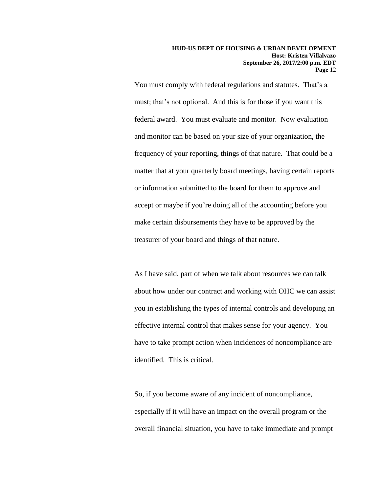You must comply with federal regulations and statutes. That's a must; that's not optional. And this is for those if you want this federal award. You must evaluate and monitor. Now evaluation and monitor can be based on your size of your organization, the frequency of your reporting, things of that nature. That could be a matter that at your quarterly board meetings, having certain reports or information submitted to the board for them to approve and accept or maybe if you're doing all of the accounting before you make certain disbursements they have to be approved by the treasurer of your board and things of that nature.

As I have said, part of when we talk about resources we can talk about how under our contract and working with OHC we can assist you in establishing the types of internal controls and developing an effective internal control that makes sense for your agency. You have to take prompt action when incidences of noncompliance are identified. This is critical.

So, if you become aware of any incident of noncompliance, especially if it will have an impact on the overall program or the overall financial situation, you have to take immediate and prompt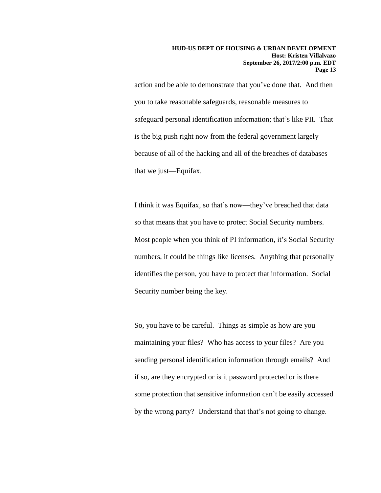action and be able to demonstrate that you've done that. And then you to take reasonable safeguards, reasonable measures to safeguard personal identification information; that's like PII. That is the big push right now from the federal government largely because of all of the hacking and all of the breaches of databases that we just—Equifax.

I think it was Equifax, so that's now—they've breached that data so that means that you have to protect Social Security numbers. Most people when you think of PI information, it's Social Security numbers, it could be things like licenses. Anything that personally identifies the person, you have to protect that information. Social Security number being the key.

So, you have to be careful. Things as simple as how are you maintaining your files? Who has access to your files? Are you sending personal identification information through emails? And if so, are they encrypted or is it password protected or is there some protection that sensitive information can't be easily accessed by the wrong party? Understand that that's not going to change.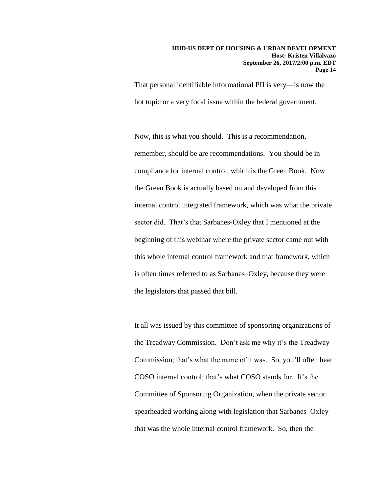That personal identifiable informational PII is very—is now the hot topic or a very focal issue within the federal government.

Now, this is what you should. This is a recommendation, remember, should be are recommendations. You should be in compliance for internal control, which is the Green Book. Now the Green Book is actually based on and developed from this internal control integrated framework, which was what the private sector did. That's that Sarbanes-Oxley that I mentioned at the beginning of this webinar where the private sector came out with this whole internal control framework and that framework, which is often times referred to as Sarbanes–Oxley, because they were the legislators that passed that bill.

It all was issued by this committee of sponsoring organizations of the Treadway Commission. Don't ask me why it's the Treadway Commission; that's what the name of it was. So, you'll often hear COSO internal control; that's what COSO stands for. It's the Committee of Sponsoring Organization, when the private sector spearheaded working along with legislation that Sarbanes–Oxley that was the whole internal control framework. So, then the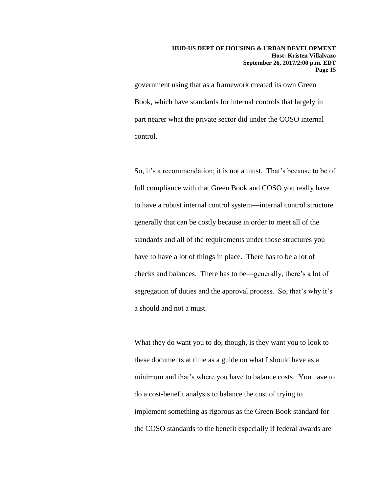government using that as a framework created its own Green Book, which have standards for internal controls that largely in part nearer what the private sector did under the COSO internal control.

So, it's a recommendation; it is not a must. That's because to be of full compliance with that Green Book and COSO you really have to have a robust internal control system—internal control structure generally that can be costly because in order to meet all of the standards and all of the requirements under those structures you have to have a lot of things in place. There has to be a lot of checks and balances. There has to be—generally, there's a lot of segregation of duties and the approval process. So, that's why it's a should and not a must.

What they do want you to do, though, is they want you to look to these documents at time as a guide on what I should have as a minimum and that's where you have to balance costs. You have to do a cost-benefit analysis to balance the cost of trying to implement something as rigorous as the Green Book standard for the COSO standards to the benefit especially if federal awards are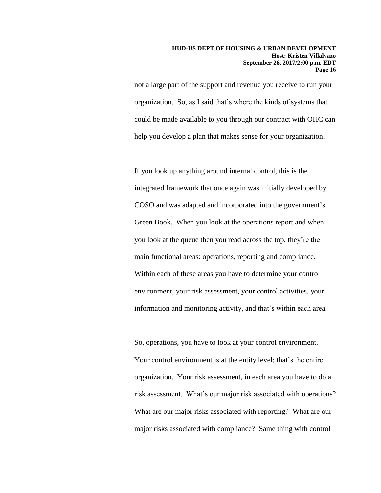not a large part of the support and revenue you receive to run your organization. So, as I said that's where the kinds of systems that could be made available to you through our contract with OHC can help you develop a plan that makes sense for your organization.

If you look up anything around internal control, this is the integrated framework that once again was initially developed by COSO and was adapted and incorporated into the government's Green Book. When you look at the operations report and when you look at the queue then you read across the top, they're the main functional areas: operations, reporting and compliance. Within each of these areas you have to determine your control environment, your risk assessment, your control activities, your information and monitoring activity, and that's within each area.

So, operations, you have to look at your control environment. Your control environment is at the entity level; that's the entire organization. Your risk assessment, in each area you have to do a risk assessment. What's our major risk associated with operations? What are our major risks associated with reporting? What are our major risks associated with compliance? Same thing with control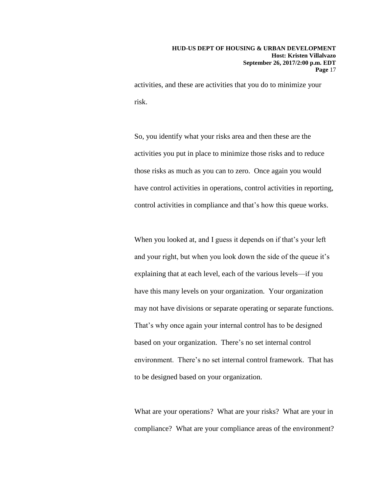activities, and these are activities that you do to minimize your risk.

So, you identify what your risks area and then these are the activities you put in place to minimize those risks and to reduce those risks as much as you can to zero. Once again you would have control activities in operations, control activities in reporting, control activities in compliance and that's how this queue works.

When you looked at, and I guess it depends on if that's your left and your right, but when you look down the side of the queue it's explaining that at each level, each of the various levels—if you have this many levels on your organization. Your organization may not have divisions or separate operating or separate functions. That's why once again your internal control has to be designed based on your organization. There's no set internal control environment. There's no set internal control framework. That has to be designed based on your organization.

What are your operations? What are your risks? What are your in compliance? What are your compliance areas of the environment?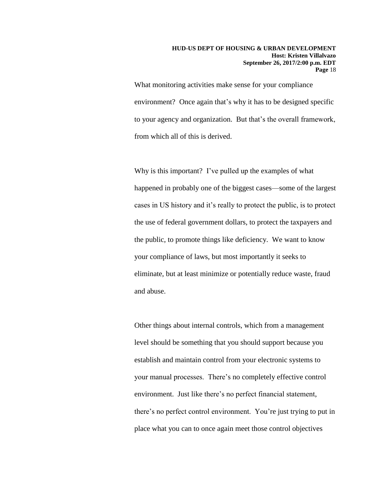What monitoring activities make sense for your compliance environment? Once again that's why it has to be designed specific to your agency and organization. But that's the overall framework, from which all of this is derived.

Why is this important? I've pulled up the examples of what happened in probably one of the biggest cases—some of the largest cases in US history and it's really to protect the public, is to protect the use of federal government dollars, to protect the taxpayers and the public, to promote things like deficiency. We want to know your compliance of laws, but most importantly it seeks to eliminate, but at least minimize or potentially reduce waste, fraud and abuse.

Other things about internal controls, which from a management level should be something that you should support because you establish and maintain control from your electronic systems to your manual processes. There's no completely effective control environment. Just like there's no perfect financial statement, there's no perfect control environment. You're just trying to put in place what you can to once again meet those control objectives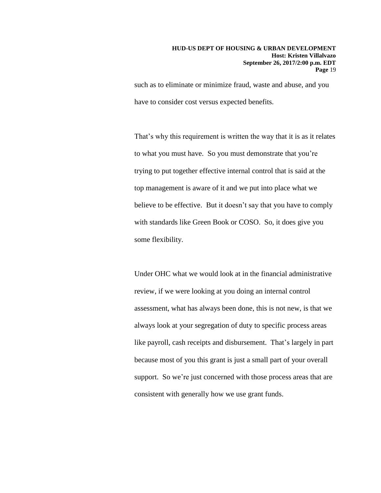such as to eliminate or minimize fraud, waste and abuse, and you have to consider cost versus expected benefits.

That's why this requirement is written the way that it is as it relates to what you must have. So you must demonstrate that you're trying to put together effective internal control that is said at the top management is aware of it and we put into place what we believe to be effective. But it doesn't say that you have to comply with standards like Green Book or COSO. So, it does give you some flexibility.

Under OHC what we would look at in the financial administrative review, if we were looking at you doing an internal control assessment, what has always been done, this is not new, is that we always look at your segregation of duty to specific process areas like payroll, cash receipts and disbursement. That's largely in part because most of you this grant is just a small part of your overall support. So we're just concerned with those process areas that are consistent with generally how we use grant funds.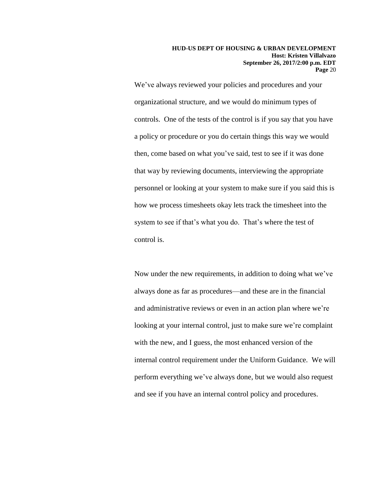**HUD-US DEPT OF HOUSING & URBAN DEVELOPMENT Host: Kristen Villalvazo September 26, 2017/2:00 p.m. EDT Page** 20

We've always reviewed your policies and procedures and your organizational structure, and we would do minimum types of controls. One of the tests of the control is if you say that you have a policy or procedure or you do certain things this way we would then, come based on what you've said, test to see if it was done that way by reviewing documents, interviewing the appropriate personnel or looking at your system to make sure if you said this is how we process timesheets okay lets track the timesheet into the system to see if that's what you do. That's where the test of control is.

Now under the new requirements, in addition to doing what we've always done as far as procedures—and these are in the financial and administrative reviews or even in an action plan where we're looking at your internal control, just to make sure we're complaint with the new, and I guess, the most enhanced version of the internal control requirement under the Uniform Guidance. We will perform everything we've always done, but we would also request and see if you have an internal control policy and procedures.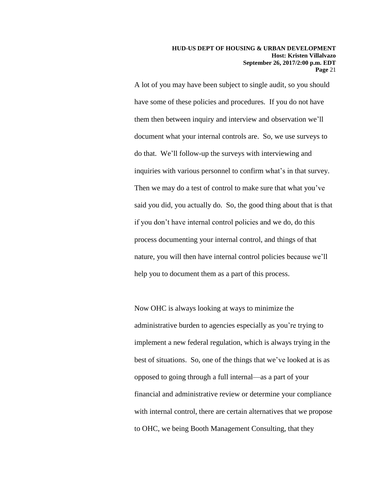**HUD-US DEPT OF HOUSING & URBAN DEVELOPMENT Host: Kristen Villalvazo September 26, 2017/2:00 p.m. EDT Page** 21

A lot of you may have been subject to single audit, so you should have some of these policies and procedures. If you do not have them then between inquiry and interview and observation we'll document what your internal controls are. So, we use surveys to do that. We'll follow-up the surveys with interviewing and inquiries with various personnel to confirm what's in that survey. Then we may do a test of control to make sure that what you've said you did, you actually do. So, the good thing about that is that if you don't have internal control policies and we do, do this process documenting your internal control, and things of that nature, you will then have internal control policies because we'll help you to document them as a part of this process.

Now OHC is always looking at ways to minimize the administrative burden to agencies especially as you're trying to implement a new federal regulation, which is always trying in the best of situations. So, one of the things that we've looked at is as opposed to going through a full internal—as a part of your financial and administrative review or determine your compliance with internal control, there are certain alternatives that we propose to OHC, we being Booth Management Consulting, that they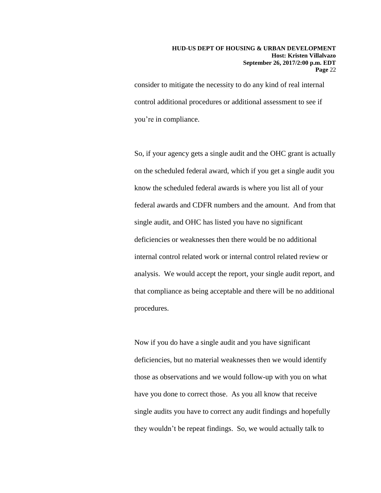consider to mitigate the necessity to do any kind of real internal control additional procedures or additional assessment to see if you're in compliance.

So, if your agency gets a single audit and the OHC grant is actually on the scheduled federal award, which if you get a single audit you know the scheduled federal awards is where you list all of your federal awards and CDFR numbers and the amount. And from that single audit, and OHC has listed you have no significant deficiencies or weaknesses then there would be no additional internal control related work or internal control related review or analysis. We would accept the report, your single audit report, and that compliance as being acceptable and there will be no additional procedures.

Now if you do have a single audit and you have significant deficiencies, but no material weaknesses then we would identify those as observations and we would follow-up with you on what have you done to correct those. As you all know that receive single audits you have to correct any audit findings and hopefully they wouldn't be repeat findings. So, we would actually talk to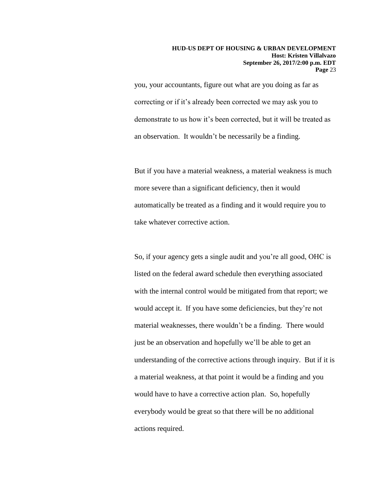you, your accountants, figure out what are you doing as far as correcting or if it's already been corrected we may ask you to demonstrate to us how it's been corrected, but it will be treated as an observation. It wouldn't be necessarily be a finding.

But if you have a material weakness, a material weakness is much more severe than a significant deficiency, then it would automatically be treated as a finding and it would require you to take whatever corrective action.

So, if your agency gets a single audit and you're all good, OHC is listed on the federal award schedule then everything associated with the internal control would be mitigated from that report; we would accept it. If you have some deficiencies, but they're not material weaknesses, there wouldn't be a finding. There would just be an observation and hopefully we'll be able to get an understanding of the corrective actions through inquiry. But if it is a material weakness, at that point it would be a finding and you would have to have a corrective action plan. So, hopefully everybody would be great so that there will be no additional actions required.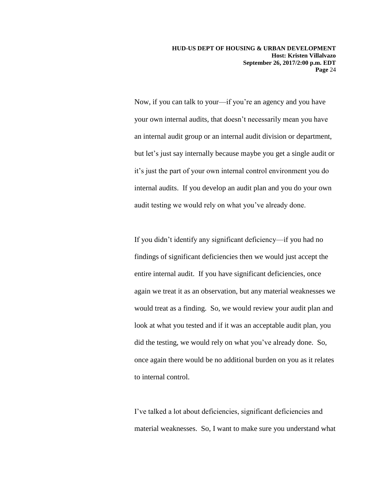**HUD-US DEPT OF HOUSING & URBAN DEVELOPMENT Host: Kristen Villalvazo September 26, 2017/2:00 p.m. EDT Page** 24

Now, if you can talk to your—if you're an agency and you have your own internal audits, that doesn't necessarily mean you have an internal audit group or an internal audit division or department, but let's just say internally because maybe you get a single audit or it's just the part of your own internal control environment you do internal audits. If you develop an audit plan and you do your own audit testing we would rely on what you've already done.

If you didn't identify any significant deficiency—if you had no findings of significant deficiencies then we would just accept the entire internal audit. If you have significant deficiencies, once again we treat it as an observation, but any material weaknesses we would treat as a finding. So, we would review your audit plan and look at what you tested and if it was an acceptable audit plan, you did the testing, we would rely on what you've already done. So, once again there would be no additional burden on you as it relates to internal control.

I've talked a lot about deficiencies, significant deficiencies and material weaknesses. So, I want to make sure you understand what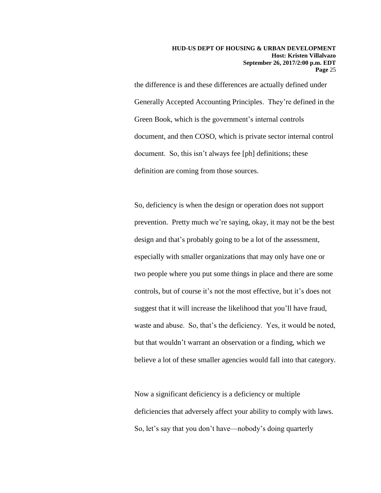the difference is and these differences are actually defined under Generally Accepted Accounting Principles. They're defined in the Green Book, which is the government's internal controls document, and then COSO, which is private sector internal control document. So, this isn't always fee [ph] definitions; these definition are coming from those sources.

So, deficiency is when the design or operation does not support prevention. Pretty much we're saying, okay, it may not be the best design and that's probably going to be a lot of the assessment, especially with smaller organizations that may only have one or two people where you put some things in place and there are some controls, but of course it's not the most effective, but it's does not suggest that it will increase the likelihood that you'll have fraud, waste and abuse. So, that's the deficiency. Yes, it would be noted, but that wouldn't warrant an observation or a finding, which we believe a lot of these smaller agencies would fall into that category.

Now a significant deficiency is a deficiency or multiple deficiencies that adversely affect your ability to comply with laws. So, let's say that you don't have—nobody's doing quarterly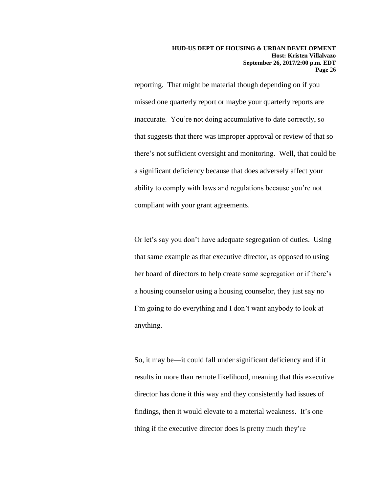reporting. That might be material though depending on if you missed one quarterly report or maybe your quarterly reports are inaccurate. You're not doing accumulative to date correctly, so that suggests that there was improper approval or review of that so there's not sufficient oversight and monitoring. Well, that could be a significant deficiency because that does adversely affect your ability to comply with laws and regulations because you're not compliant with your grant agreements.

Or let's say you don't have adequate segregation of duties. Using that same example as that executive director, as opposed to using her board of directors to help create some segregation or if there's a housing counselor using a housing counselor, they just say no I'm going to do everything and I don't want anybody to look at anything.

So, it may be—it could fall under significant deficiency and if it results in more than remote likelihood, meaning that this executive director has done it this way and they consistently had issues of findings, then it would elevate to a material weakness. It's one thing if the executive director does is pretty much they're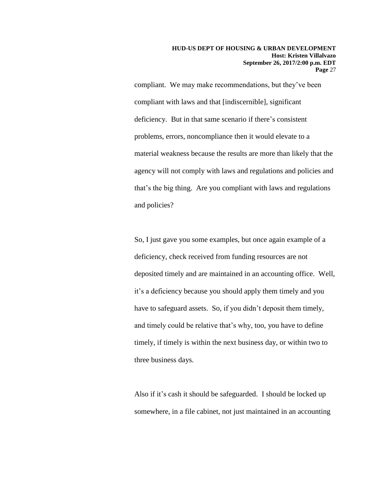compliant. We may make recommendations, but they've been compliant with laws and that [indiscernible], significant deficiency. But in that same scenario if there's consistent problems, errors, noncompliance then it would elevate to a material weakness because the results are more than likely that the agency will not comply with laws and regulations and policies and that's the big thing. Are you compliant with laws and regulations and policies?

So, I just gave you some examples, but once again example of a deficiency, check received from funding resources are not deposited timely and are maintained in an accounting office. Well, it's a deficiency because you should apply them timely and you have to safeguard assets. So, if you didn't deposit them timely, and timely could be relative that's why, too, you have to define timely, if timely is within the next business day, or within two to three business days.

Also if it's cash it should be safeguarded. I should be locked up somewhere, in a file cabinet, not just maintained in an accounting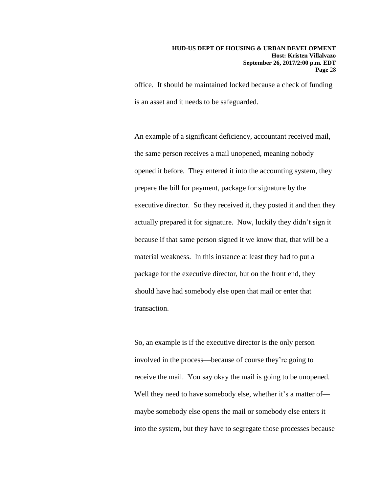office. It should be maintained locked because a check of funding is an asset and it needs to be safeguarded.

An example of a significant deficiency, accountant received mail, the same person receives a mail unopened, meaning nobody opened it before. They entered it into the accounting system, they prepare the bill for payment, package for signature by the executive director. So they received it, they posted it and then they actually prepared it for signature. Now, luckily they didn't sign it because if that same person signed it we know that, that will be a material weakness. In this instance at least they had to put a package for the executive director, but on the front end, they should have had somebody else open that mail or enter that transaction.

So, an example is if the executive director is the only person involved in the process—because of course they're going to receive the mail. You say okay the mail is going to be unopened. Well they need to have somebody else, whether it's a matter of maybe somebody else opens the mail or somebody else enters it into the system, but they have to segregate those processes because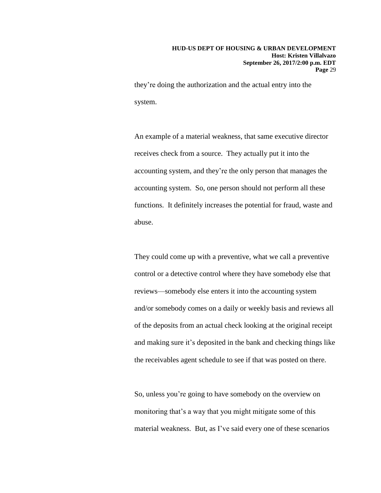they're doing the authorization and the actual entry into the system.

An example of a material weakness, that same executive director receives check from a source. They actually put it into the accounting system, and they're the only person that manages the accounting system. So, one person should not perform all these functions. It definitely increases the potential for fraud, waste and abuse.

They could come up with a preventive, what we call a preventive control or a detective control where they have somebody else that reviews—somebody else enters it into the accounting system and/or somebody comes on a daily or weekly basis and reviews all of the deposits from an actual check looking at the original receipt and making sure it's deposited in the bank and checking things like the receivables agent schedule to see if that was posted on there.

So, unless you're going to have somebody on the overview on monitoring that's a way that you might mitigate some of this material weakness. But, as I've said every one of these scenarios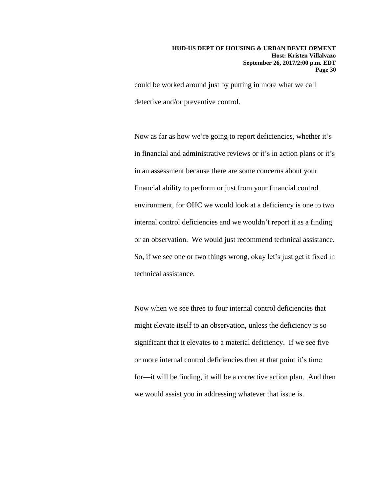could be worked around just by putting in more what we call detective and/or preventive control.

Now as far as how we're going to report deficiencies, whether it's in financial and administrative reviews or it's in action plans or it's in an assessment because there are some concerns about your financial ability to perform or just from your financial control environment, for OHC we would look at a deficiency is one to two internal control deficiencies and we wouldn't report it as a finding or an observation. We would just recommend technical assistance. So, if we see one or two things wrong, okay let's just get it fixed in technical assistance.

Now when we see three to four internal control deficiencies that might elevate itself to an observation, unless the deficiency is so significant that it elevates to a material deficiency. If we see five or more internal control deficiencies then at that point it's time for—it will be finding, it will be a corrective action plan. And then we would assist you in addressing whatever that issue is.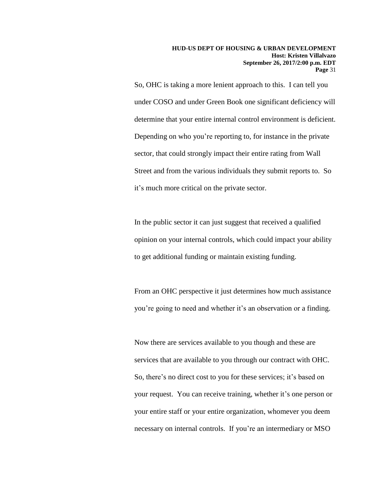So, OHC is taking a more lenient approach to this. I can tell you under COSO and under Green Book one significant deficiency will determine that your entire internal control environment is deficient. Depending on who you're reporting to, for instance in the private sector, that could strongly impact their entire rating from Wall Street and from the various individuals they submit reports to. So it's much more critical on the private sector.

In the public sector it can just suggest that received a qualified opinion on your internal controls, which could impact your ability to get additional funding or maintain existing funding.

From an OHC perspective it just determines how much assistance you're going to need and whether it's an observation or a finding.

Now there are services available to you though and these are services that are available to you through our contract with OHC. So, there's no direct cost to you for these services; it's based on your request. You can receive training, whether it's one person or your entire staff or your entire organization, whomever you deem necessary on internal controls. If you're an intermediary or MSO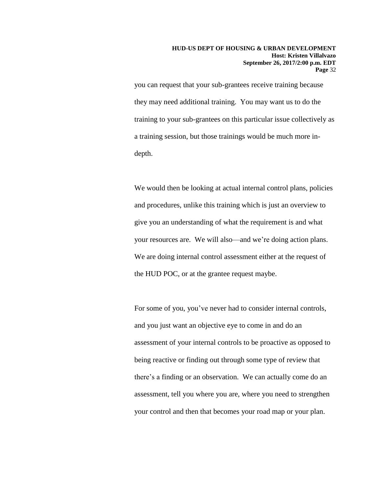you can request that your sub-grantees receive training because they may need additional training. You may want us to do the training to your sub-grantees on this particular issue collectively as a training session, but those trainings would be much more indepth.

We would then be looking at actual internal control plans, policies and procedures, unlike this training which is just an overview to give you an understanding of what the requirement is and what your resources are. We will also—and we're doing action plans. We are doing internal control assessment either at the request of the HUD POC, or at the grantee request maybe.

For some of you, you've never had to consider internal controls, and you just want an objective eye to come in and do an assessment of your internal controls to be proactive as opposed to being reactive or finding out through some type of review that there's a finding or an observation. We can actually come do an assessment, tell you where you are, where you need to strengthen your control and then that becomes your road map or your plan.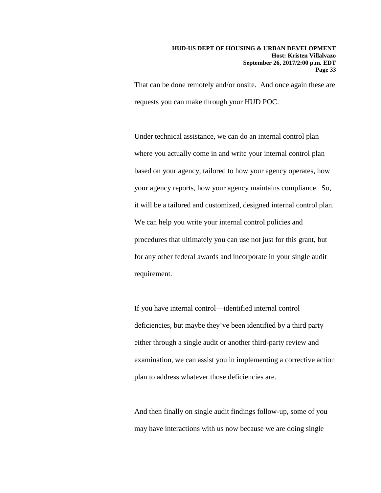That can be done remotely and/or onsite. And once again these are requests you can make through your HUD POC.

Under technical assistance, we can do an internal control plan where you actually come in and write your internal control plan based on your agency, tailored to how your agency operates, how your agency reports, how your agency maintains compliance. So, it will be a tailored and customized, designed internal control plan. We can help you write your internal control policies and procedures that ultimately you can use not just for this grant, but for any other federal awards and incorporate in your single audit requirement.

If you have internal control—identified internal control deficiencies, but maybe they've been identified by a third party either through a single audit or another third-party review and examination, we can assist you in implementing a corrective action plan to address whatever those deficiencies are.

And then finally on single audit findings follow-up, some of you may have interactions with us now because we are doing single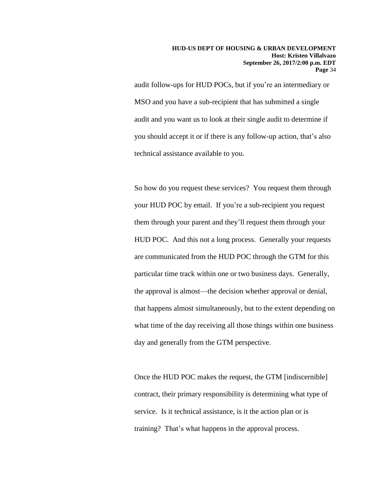audit follow-ups for HUD POCs, but if you're an intermediary or MSO and you have a sub-recipient that has submitted a single audit and you want us to look at their single audit to determine if you should accept it or if there is any follow-up action, that's also technical assistance available to you.

So how do you request these services? You request them through your HUD POC by email. If you're a sub-recipient you request them through your parent and they'll request them through your HUD POC. And this not a long process. Generally your requests are communicated from the HUD POC through the GTM for this particular time track within one or two business days. Generally, the approval is almost—the decision whether approval or denial, that happens almost simultaneously, but to the extent depending on what time of the day receiving all those things within one business day and generally from the GTM perspective.

Once the HUD POC makes the request, the GTM [indiscernible] contract, their primary responsibility is determining what type of service. Is it technical assistance, is it the action plan or is training? That's what happens in the approval process.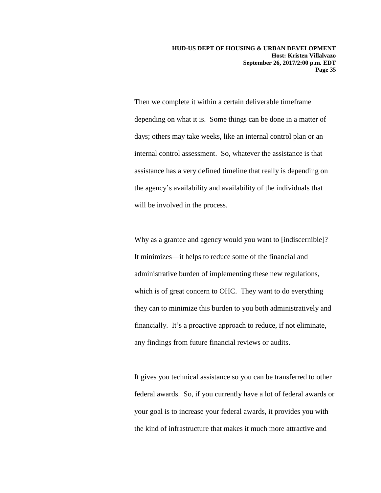**HUD-US DEPT OF HOUSING & URBAN DEVELOPMENT Host: Kristen Villalvazo September 26, 2017/2:00 p.m. EDT Page** 35

Then we complete it within a certain deliverable timeframe depending on what it is. Some things can be done in a matter of days; others may take weeks, like an internal control plan or an internal control assessment. So, whatever the assistance is that assistance has a very defined timeline that really is depending on the agency's availability and availability of the individuals that will be involved in the process.

Why as a grantee and agency would you want to [indiscernible]? It minimizes—it helps to reduce some of the financial and administrative burden of implementing these new regulations, which is of great concern to OHC. They want to do everything they can to minimize this burden to you both administratively and financially. It's a proactive approach to reduce, if not eliminate, any findings from future financial reviews or audits.

It gives you technical assistance so you can be transferred to other federal awards. So, if you currently have a lot of federal awards or your goal is to increase your federal awards, it provides you with the kind of infrastructure that makes it much more attractive and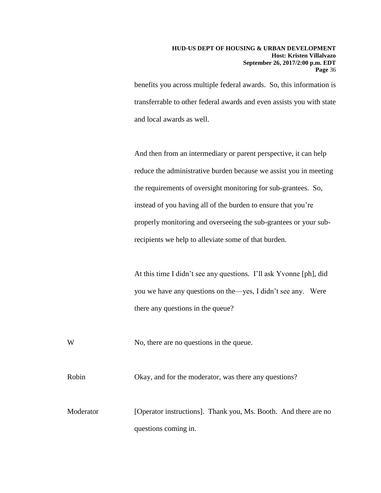benefits you across multiple federal awards. So, this information is transferrable to other federal awards and even assists you with state and local awards as well.

And then from an intermediary or parent perspective, it can help reduce the administrative burden because we assist you in meeting the requirements of oversight monitoring for sub-grantees. So, instead of you having all of the burden to ensure that you're properly monitoring and overseeing the sub-grantees or your subrecipients we help to alleviate some of that burden.

At this time I didn't see any questions. I'll ask Yvonne [ph], did you we have any questions on the—yes, I didn't see any. Were there any questions in the queue?

W No, there are no questions in the queue.

Robin Okay, and for the moderator, was there any questions?

Moderator [Operator instructions]. Thank you, Ms. Booth. And there are no questions coming in.